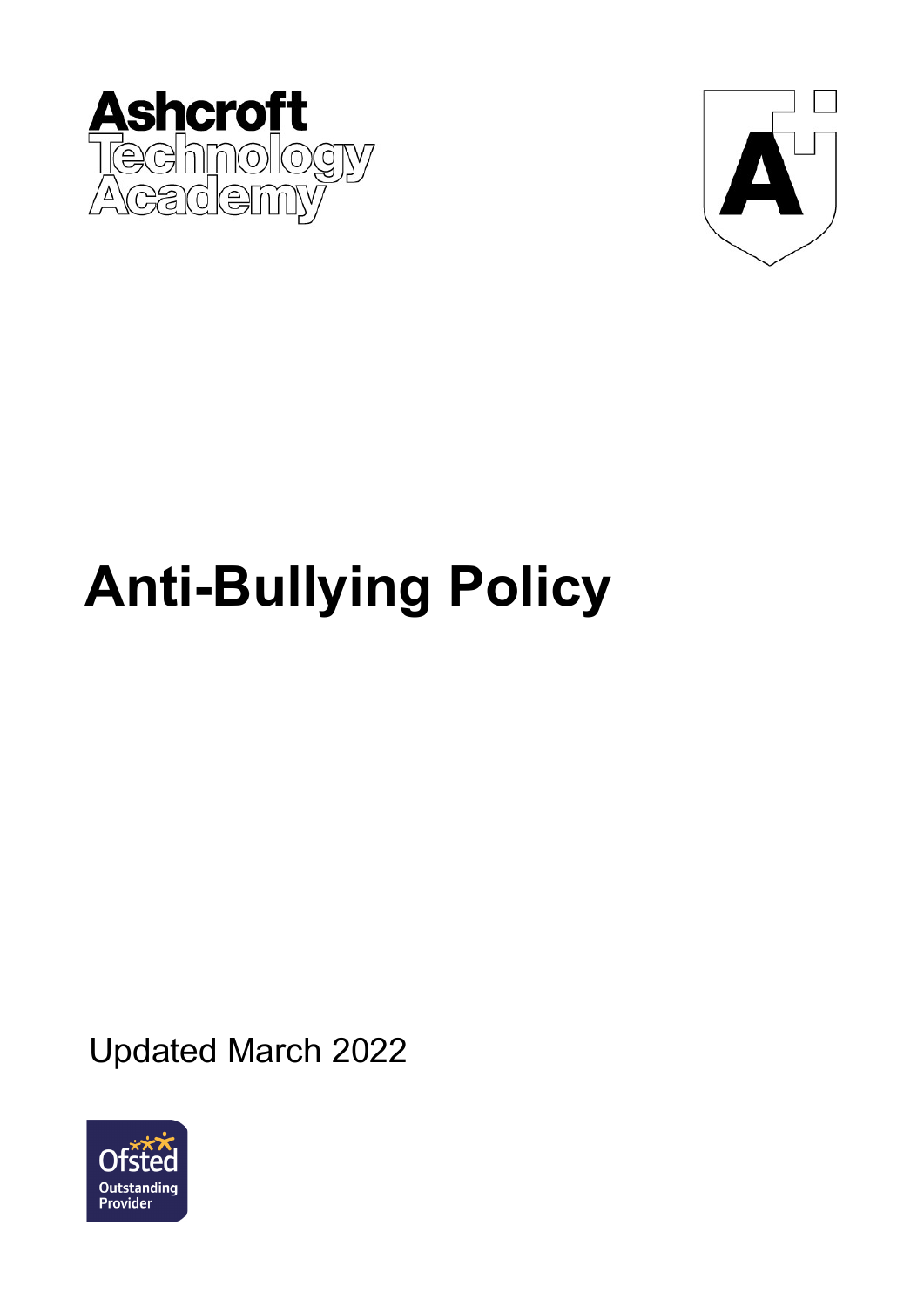



# **Anti-Bullying Policy**

Updated March 2022

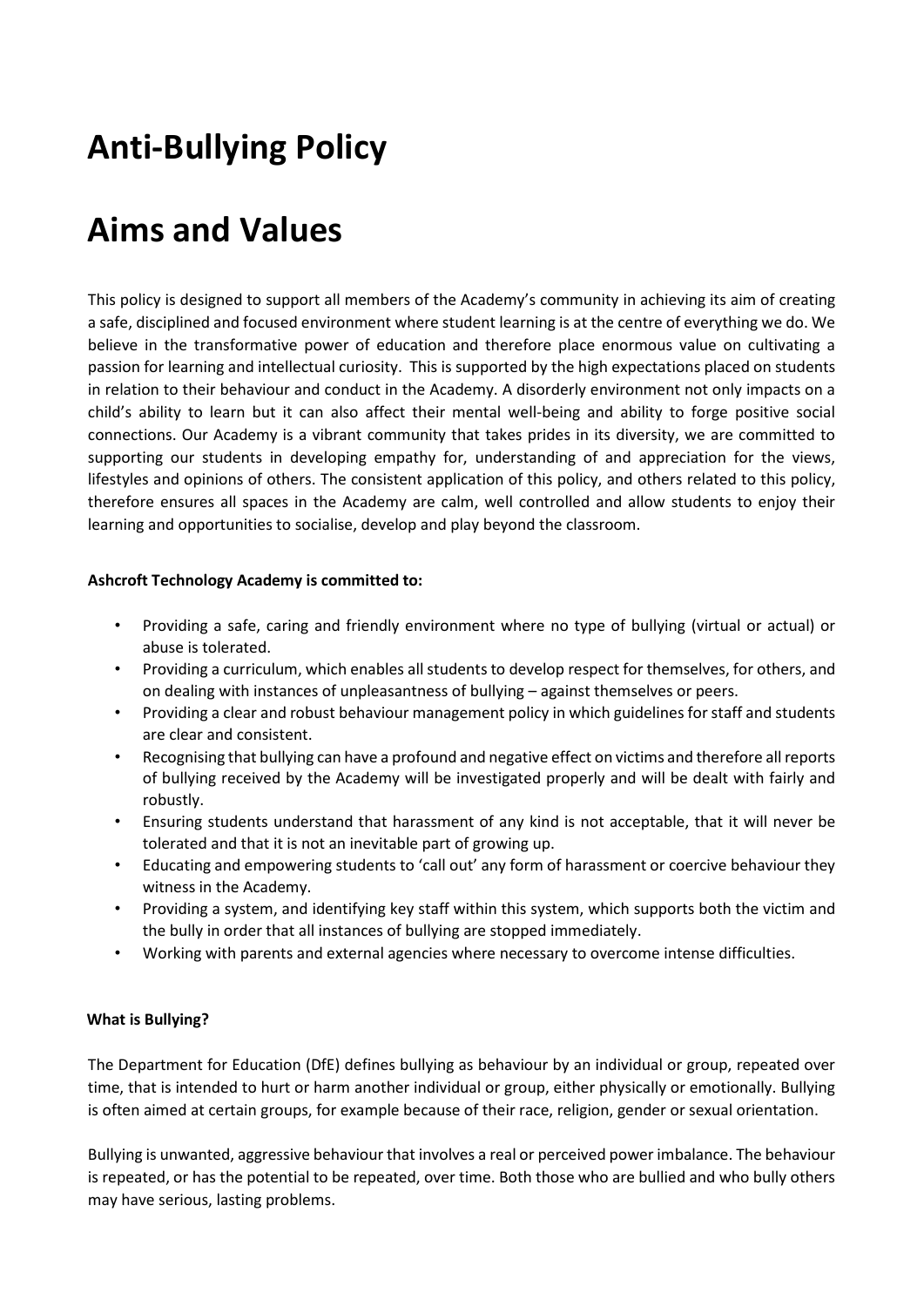# **Anti-Bullying Policy**

# **Aims and Values**

This policy is designed to support all members of the Academy's community in achieving its aim of creating a safe, disciplined and focused environment where student learning is at the centre of everything we do. We believe in the transformative power of education and therefore place enormous value on cultivating a passion for learning and intellectual curiosity. This is supported by the high expectations placed on students in relation to their behaviour and conduct in the Academy. A disorderly environment not only impacts on a child's ability to learn but it can also affect their mental well-being and ability to forge positive social connections. Our Academy is a vibrant community that takes prides in its diversity, we are committed to supporting our students in developing empathy for, understanding of and appreciation for the views, lifestyles and opinions of others. The consistent application of this policy, and others related to this policy, therefore ensures all spaces in the Academy are calm, well controlled and allow students to enjoy their learning and opportunities to socialise, develop and play beyond the classroom.

### **Ashcroft Technology Academy is committed to:**

- Providing a safe, caring and friendly environment where no type of bullying (virtual or actual) or abuse is tolerated.
- Providing a curriculum, which enables all students to develop respect for themselves, for others, and on dealing with instances of unpleasantness of bullying – against themselves or peers.
- Providing a clear and robust behaviour management policy in which guidelines for staff and students are clear and consistent.
- Recognising that bullying can have a profound and negative effect on victims and therefore all reports of bullying received by the Academy will be investigated properly and will be dealt with fairly and robustly.
- Ensuring students understand that harassment of any kind is not acceptable, that it will never be tolerated and that it is not an inevitable part of growing up.
- Educating and empowering students to 'call out' any form of harassment or coercive behaviour they witness in the Academy.
- Providing a system, and identifying key staff within this system, which supports both the victim and the bully in order that all instances of bullying are stopped immediately.
- Working with parents and external agencies where necessary to overcome intense difficulties.

#### **What is Bullying?**

The Department for Education (DfE) defines bullying as behaviour by an individual or group, repeated over time, that is intended to hurt or harm another individual or group, either physically or emotionally. Bullying is often aimed at certain groups, for example because of their race, religion, gender or sexual orientation.

Bullying is unwanted, aggressive behaviour that involves a real or perceived power imbalance. The behaviour is repeated, or has the potential to be repeated, over time. Both those who are bullied and who bully others may have serious, lasting problems.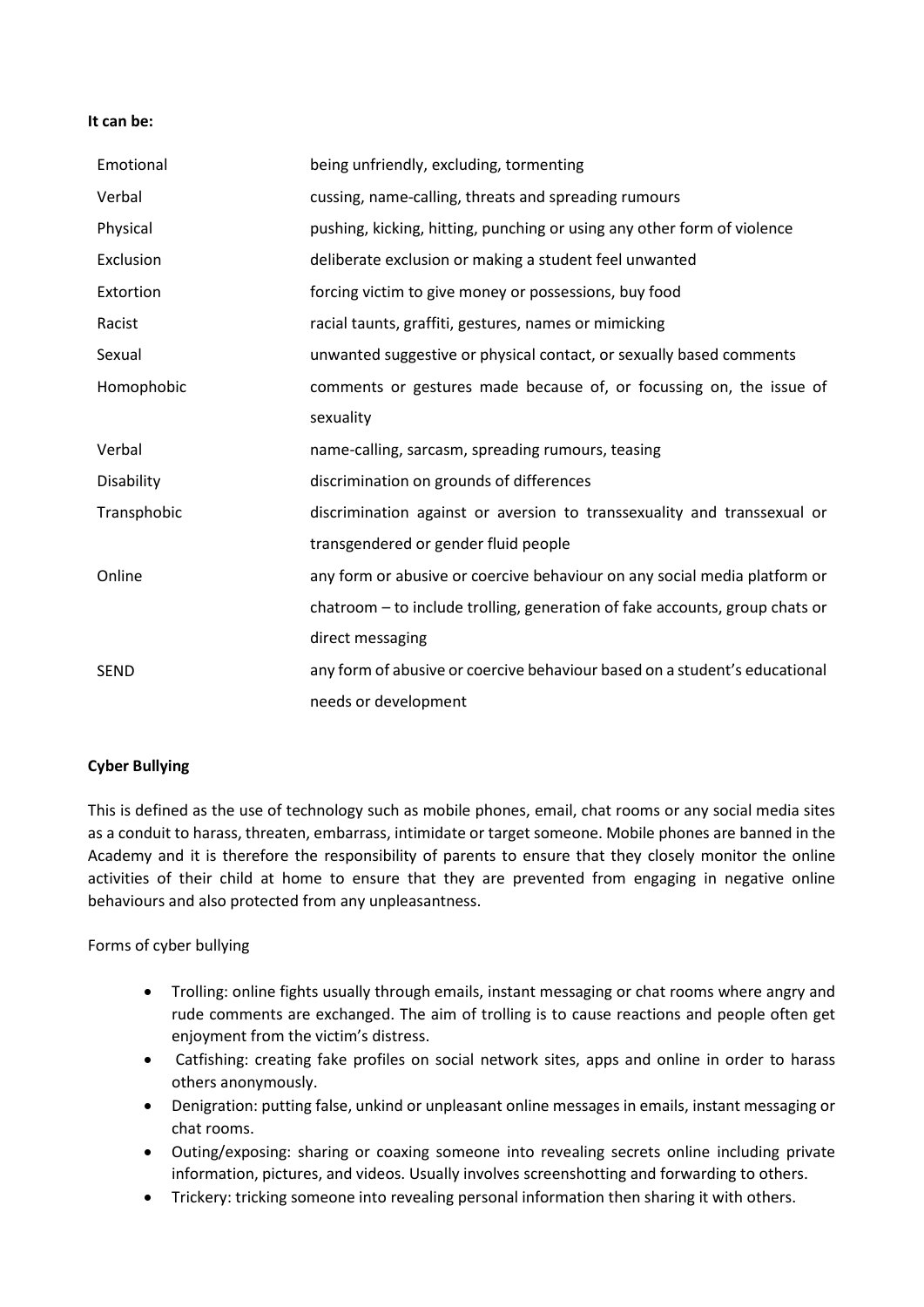#### **It can be:**

| Emotional   | being unfriendly, excluding, tormenting                                     |
|-------------|-----------------------------------------------------------------------------|
| Verbal      | cussing, name-calling, threats and spreading rumours                        |
| Physical    | pushing, kicking, hitting, punching or using any other form of violence     |
| Exclusion   | deliberate exclusion or making a student feel unwanted                      |
| Extortion   | forcing victim to give money or possessions, buy food                       |
| Racist      | racial taunts, graffiti, gestures, names or mimicking                       |
| Sexual      | unwanted suggestive or physical contact, or sexually based comments         |
| Homophobic  | comments or gestures made because of, or focussing on, the issue of         |
|             | sexuality                                                                   |
| Verbal      | name-calling, sarcasm, spreading rumours, teasing                           |
| Disability  | discrimination on grounds of differences                                    |
| Transphobic | discrimination against or aversion to transsexuality and transsexual or     |
|             | transgendered or gender fluid people                                        |
| Online      | any form or abusive or coercive behaviour on any social media platform or   |
|             | chatroom - to include trolling, generation of fake accounts, group chats or |
|             | direct messaging                                                            |
| <b>SEND</b> | any form of abusive or coercive behaviour based on a student's educational  |
|             | needs or development                                                        |

#### **Cyber Bullying**

This is defined as the use of technology such as mobile phones, email, chat rooms or any social media sites as a conduit to harass, threaten, embarrass, intimidate or target someone. Mobile phones are banned in the Academy and it is therefore the responsibility of parents to ensure that they closely monitor the online activities of their child at home to ensure that they are prevented from engaging in negative online behaviours and also protected from any unpleasantness.

Forms of cyber bullying

- Trolling: online fights usually through emails, instant messaging or chat rooms where angry and rude comments are exchanged. The aim of trolling is to cause reactions and people often get enjoyment from the victim's distress.
- Catfishing: creating fake profiles on social network sites, apps and online in order to harass others anonymously.
- Denigration: putting false, unkind or unpleasant online messages in emails, instant messaging or chat rooms.
- Outing/exposing: sharing or coaxing someone into revealing secrets online including private information, pictures, and videos. Usually involves screenshotting and forwarding to others.
- Trickery: tricking someone into revealing personal information then sharing it with others.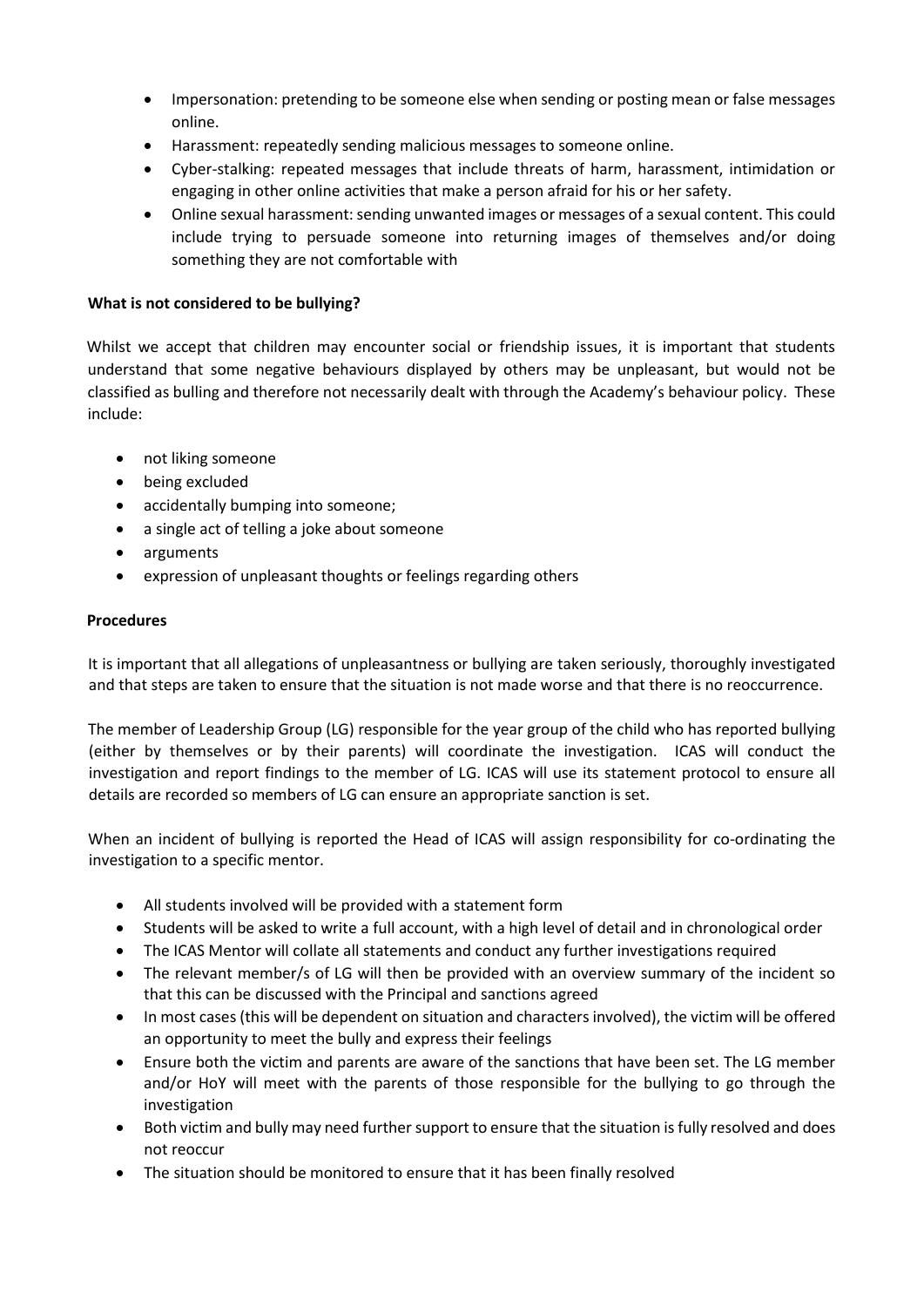- Impersonation: pretending to be someone else when sending or posting mean or false messages online.
- Harassment: repeatedly sending malicious messages to someone online.
- Cyber-stalking: repeated messages that include threats of harm, harassment, intimidation or engaging in other online activities that make a person afraid for his or her safety.
- Online sexual harassment: sending unwanted images or messages of a sexual content. This could include trying to persuade someone into returning images of themselves and/or doing something they are not comfortable with

# **What is not considered to be bullying?**

Whilst we accept that children may encounter social or friendship issues, it is important that students understand that some negative behaviours displayed by others may be unpleasant, but would not be classified as bulling and therefore not necessarily dealt with through the Academy's behaviour policy. These include:

- not liking someone
- being excluded
- accidentally bumping into someone;
- a single act of telling a joke about someone
- arguments
- expression of unpleasant thoughts or feelings regarding others

#### **Procedures**

It is important that all allegations of unpleasantness or bullying are taken seriously, thoroughly investigated and that steps are taken to ensure that the situation is not made worse and that there is no reoccurrence.

The member of Leadership Group (LG) responsible for the year group of the child who has reported bullying (either by themselves or by their parents) will coordinate the investigation. ICAS will conduct the investigation and report findings to the member of LG. ICAS will use its statement protocol to ensure all details are recorded so members of LG can ensure an appropriate sanction is set.

When an incident of bullying is reported the Head of ICAS will assign responsibility for co-ordinating the investigation to a specific mentor.

- All students involved will be provided with a statement form
- Students will be asked to write a full account, with a high level of detail and in chronological order
- The ICAS Mentor will collate all statements and conduct any further investigations required
- The relevant member/s of LG will then be provided with an overview summary of the incident so that this can be discussed with the Principal and sanctions agreed
- In most cases (this will be dependent on situation and characters involved), the victim will be offered an opportunity to meet the bully and express their feelings
- Ensure both the victim and parents are aware of the sanctions that have been set. The LG member and/or HoY will meet with the parents of those responsible for the bullying to go through the investigation
- Both victim and bully may need further support to ensure that the situation is fully resolved and does not reoccur
- The situation should be monitored to ensure that it has been finally resolved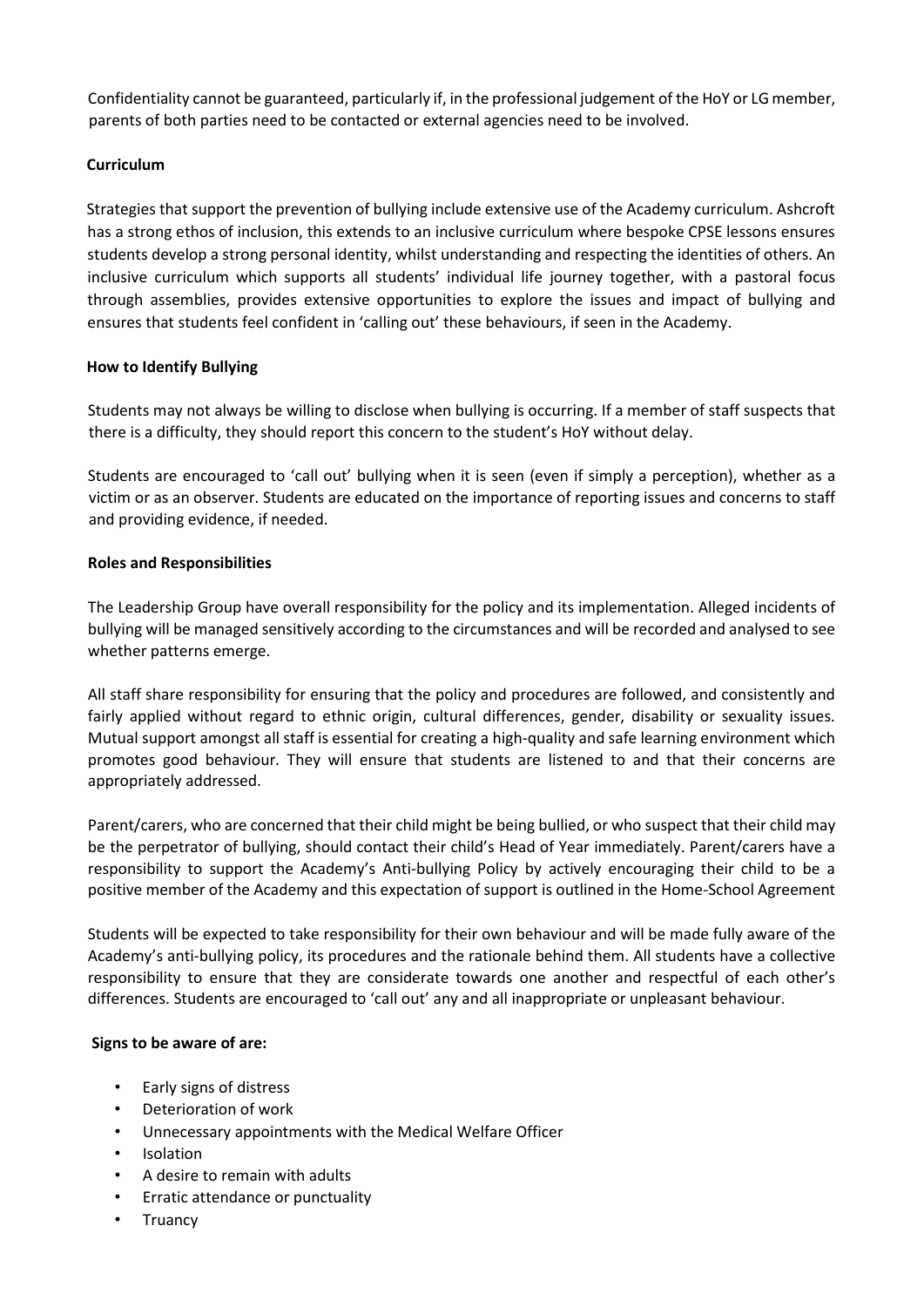Confidentiality cannot be guaranteed, particularly if, in the professional judgement of the HoY or LG member, parents of both parties need to be contacted or external agencies need to be involved.

# **Curriculum**

Strategies that support the prevention of bullying include extensive use of the Academy curriculum. Ashcroft has a strong ethos of inclusion, this extends to an inclusive curriculum where bespoke CPSE lessons ensures students develop a strong personal identity, whilst understanding and respecting the identities of others. An inclusive curriculum which supports all students' individual life journey together, with a pastoral focus through assemblies, provides extensive opportunities to explore the issues and impact of bullying and ensures that students feel confident in 'calling out' these behaviours, if seen in the Academy.

# **How to Identify Bullying**

Students may not always be willing to disclose when bullying is occurring. If a member of staff suspects that there is a difficulty, they should report this concern to the student's HoY without delay.

Students are encouraged to 'call out' bullying when it is seen (even if simply a perception), whether as a victim or as an observer. Students are educated on the importance of reporting issues and concerns to staff and providing evidence, if needed.

### **Roles and Responsibilities**

The Leadership Group have overall responsibility for the policy and its implementation. Alleged incidents of bullying will be managed sensitively according to the circumstances and will be recorded and analysed to see whether patterns emerge.

All staff share responsibility for ensuring that the policy and procedures are followed, and consistently and fairly applied without regard to ethnic origin, cultural differences, gender, disability or sexuality issues. Mutual support amongst all staff is essential for creating a high-quality and safe learning environment which promotes good behaviour. They will ensure that students are listened to and that their concerns are appropriately addressed.

Parent/carers, who are concerned that their child might be being bullied, or who suspect that their child may be the perpetrator of bullying, should contact their child's Head of Year immediately. Parent/carers have a responsibility to support the Academy's Anti-bullying Policy by actively encouraging their child to be a positive member of the Academy and this expectation of support is outlined in the Home-School Agreement

Students will be expected to take responsibility for their own behaviour and will be made fully aware of the Academy's anti-bullying policy, its procedures and the rationale behind them. All students have a collective responsibility to ensure that they are considerate towards one another and respectful of each other's differences. Students are encouraged to 'call out' any and all inappropriate or unpleasant behaviour.

#### **Signs to be aware of are:**

- Early signs of distress
- Deterioration of work
- Unnecessary appointments with the Medical Welfare Officer
- **Isolation**
- A desire to remain with adults
- Erratic attendance or punctuality
- Truancy